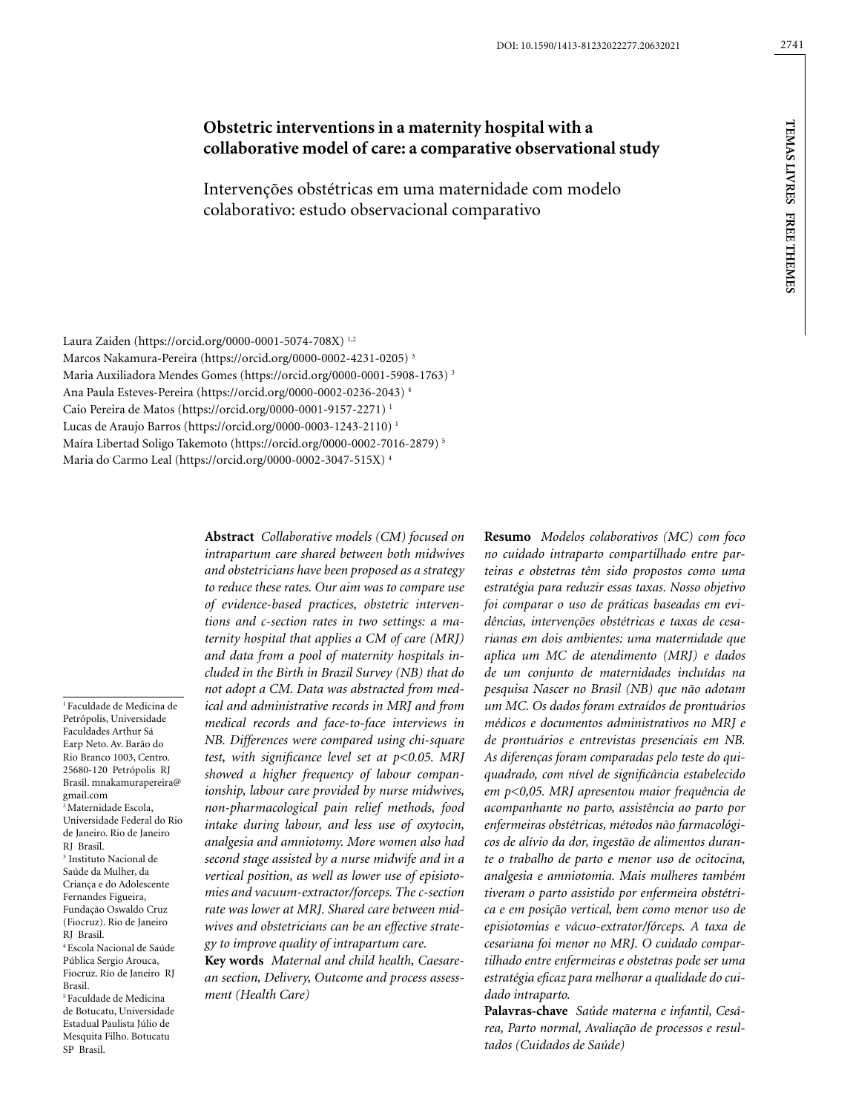# **Obstetric interventions in a maternity hospital with a collaborative model of care: a comparative observational study**

Intervenções obstétricas em uma maternidade com modelo colaborativo: estudo observacional comparativo

Laura Zaiden (https://orcid.org/0000-0001-5074-708X) 1,2 Marcos Nakamura-Pereira (https://orcid.org/0000-0002-4231-0205) 3 Maria Auxiliadora Mendes Gomes (https://orcid.org/0000-0001-5908-1763) 3 Ana Paula Esteves-Pereira (https://orcid.org/0000-0002-0236-2043) 4 Caio Pereira de Matos (https://orcid.org/0000-0001-9157-2271) 1 Lucas de Araujo Barros (https://orcid.org/0000-0003-1243-2110) 1 Maíra Libertad Soligo Takemoto (https://orcid.org/0000-0002-7016-2879) 5 Maria do Carmo Leal (https://orcid.org/0000-0002-3047-515X) 4

1 Faculdade de Medicina de Petrópolis, Universidade Faculdades Arthur Sá Earp Neto. Av. Barão do Rio Branco 1003, Centro. 25680-120 Petrópolis RJ Brasil. mnakamurapereira@ gmail.com 2 Maternidade Escola, Universidade Federal do Rio de Janeiro. Rio de Janeiro RJ Brasil. 3 Instituto Nacional de Saúde da Mulher, da Criança e do Adolescente Fernandes Figueira, Fundação Oswaldo Cruz (Fiocruz). Rio de Janeiro RJ Brasil. 4 Escola Nacional de Saúde Pública Sergio Arouca, Fiocruz. Rio de Janeiro RJ Brasil. 5 Faculdade de Medicina de Botucatu, Universidade

Estadual Paulista Júlio de Mesquita Filho. Botucatu

SP Brasil.

*and obstetricians have been proposed as a strategy to reduce these rates. Our aim was to compare use of evidence-based practices, obstetric interventions and c-section rates in two settings: a maternity hospital that applies a CM of care (MRJ) and data from a pool of maternity hospitals included in the Birth in Brazil Survey (NB) that do not adopt a CM. Data was abstracted from medical and administrative records in MRJ and from medical records and face-to-face interviews in NB. Differences were compared using chi-square test, with significance level set at p<0.05. MRJ showed a higher frequency of labour companionship, labour care provided by nurse midwives, non-pharmacological pain relief methods, food intake during labour, and less use of oxytocin, analgesia and amniotomy. More women also had second stage assisted by a nurse midwife and in a vertical position, as well as lower use of episiotomies and vacuum-extractor/forceps. The c-section rate was lower at MRJ. Shared care between midwives and obstetricians can be an effective strategy to improve quality of intrapartum care.* **Key words** *Maternal and child health, Caesare-*

**Abstract** *Collaborative models (CM) focused on intrapartum care shared between both midwives* 

*an section, Delivery, Outcome and process assessment (Health Care)*

**Resumo** *Modelos colaborativos (MC) com foco no cuidado intraparto compartilhado entre parteiras e obstetras têm sido propostos como uma estratégia para reduzir essas taxas. Nosso objetivo foi comparar o uso de práticas baseadas em evidências, intervenções obstétricas e taxas de cesarianas em dois ambientes: uma maternidade que aplica um MC de atendimento (MRJ) e dados de um conjunto de maternidades incluídas na pesquisa Nascer no Brasil (NB) que não adotam um MC. Os dados foram extraídos de prontuários médicos e documentos administrativos no MRJ e de prontuários e entrevistas presenciais em NB. As diferenças foram comparadas pelo teste do quiquadrado, com nível de significância estabelecido em p<0,05. MRJ apresentou maior frequência de acompanhante no parto, assistência ao parto por enfermeiras obstétricas, métodos não farmacológicos de alívio da dor, ingestão de alimentos durante o trabalho de parto e menor uso de ocitocina, analgesia e amniotomia. Mais mulheres também tiveram o parto assistido por enfermeira obstétrica e em posição vertical, bem como menor uso de episiotomias e vácuo-extrator/fórceps. A taxa de cesariana foi menor no MRJ. O cuidado compartilhado entre enfermeiras e obstetras pode ser uma estratégia eficaz para melhorar a qualidade do cuidado intraparto.*

**Palavras-chave** *Saúde materna e infantil, Cesárea, Parto normal, Avaliação de processos e resultados (Cuidados de Saúde)*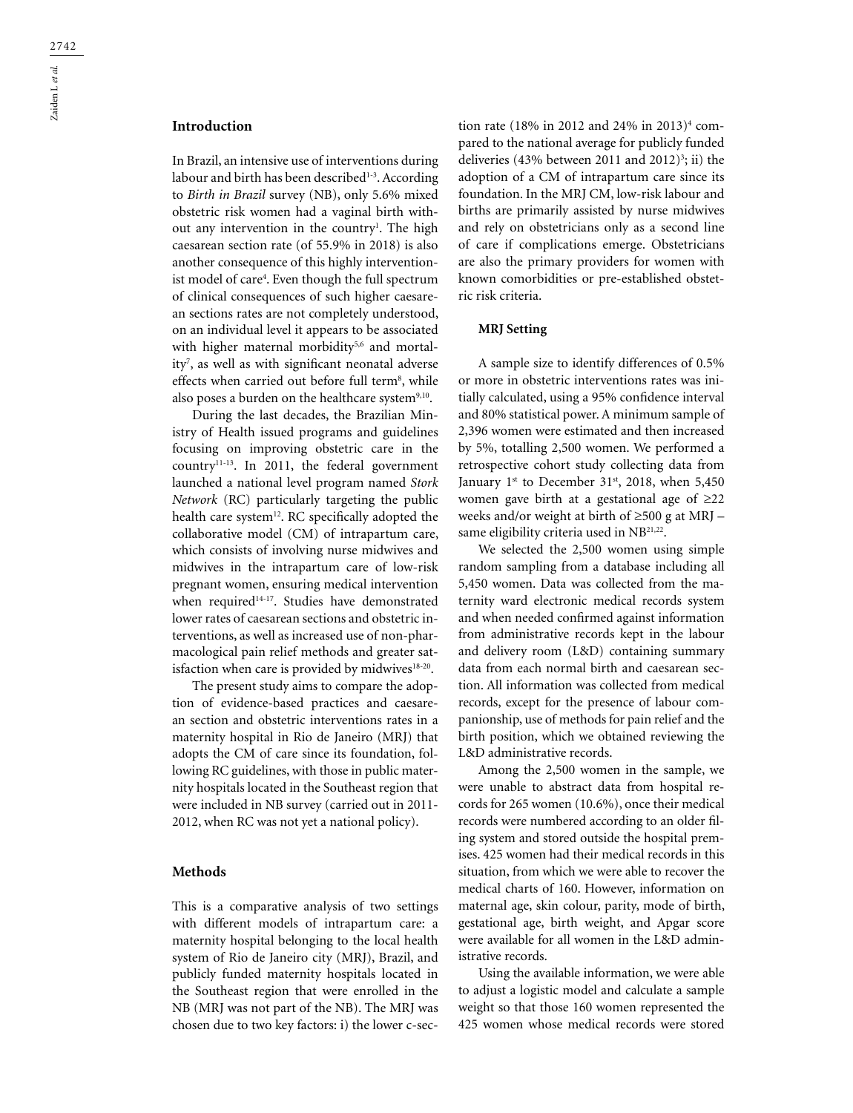## **Introduction**

In Brazil, an intensive use of interventions during labour and birth has been described $1-3$ . According to *Birth in Brazil* survey (NB), only 5.6% mixed obstetric risk women had a vaginal birth without any intervention in the country<sup>1</sup>. The high caesarean section rate (of 55.9% in 2018) is also another consequence of this highly interventionist model of care4 . Even though the full spectrum of clinical consequences of such higher caesarean sections rates are not completely understood, on an individual level it appears to be associated with higher maternal morbidity<sup>5,6</sup> and mortality7 , as well as with significant neonatal adverse effects when carried out before full term<sup>8</sup>, while also poses a burden on the healthcare system<sup>9,10</sup>.

During the last decades, the Brazilian Ministry of Health issued programs and guidelines focusing on improving obstetric care in the country<sup>11-13</sup>. In 2011, the federal government launched a national level program named *Stork Network* (RC) particularly targeting the public health care system<sup>12</sup>. RC specifically adopted the collaborative model (CM) of intrapartum care, which consists of involving nurse midwives and midwives in the intrapartum care of low-risk pregnant women, ensuring medical intervention when required<sup>14-17</sup>. Studies have demonstrated lower rates of caesarean sections and obstetric interventions, as well as increased use of non-pharmacological pain relief methods and greater satisfaction when care is provided by midwives<sup>18-20</sup>.

The present study aims to compare the adoption of evidence-based practices and caesarean section and obstetric interventions rates in a maternity hospital in Rio de Janeiro (MRJ) that adopts the CM of care since its foundation, following RC guidelines, with those in public maternity hospitals located in the Southeast region that were included in NB survey (carried out in 2011- 2012, when RC was not yet a national policy).

#### **Methods**

This is a comparative analysis of two settings with different models of intrapartum care: a maternity hospital belonging to the local health system of Rio de Janeiro city (MRJ), Brazil, and publicly funded maternity hospitals located in the Southeast region that were enrolled in the NB (MRJ was not part of the NB). The MRJ was chosen due to two key factors: i) the lower c-sec-

tion rate (18% in 2012 and 24% in 2013)4 compared to the national average for publicly funded deliveries  $(43\% \text{ between } 2011 \text{ and } 2012)^3$ ; ii) the adoption of a CM of intrapartum care since its foundation. In the MRJ CM, low-risk labour and births are primarily assisted by nurse midwives and rely on obstetricians only as a second line of care if complications emerge. Obstetricians are also the primary providers for women with known comorbidities or pre-established obstetric risk criteria.

#### **MRJ Setting**

A sample size to identify differences of 0.5% or more in obstetric interventions rates was initially calculated, using a 95% confidence interval and 80% statistical power. A minimum sample of 2,396 women were estimated and then increased by 5%, totalling 2,500 women. We performed a retrospective cohort study collecting data from January  $1^{st}$  to December 31 $^{st}$ , 2018, when 5,450 women gave birth at a gestational age of ≥22 weeks and/or weight at birth of ≥500 g at MRJ – same eligibility criteria used in NB<sup>21,22</sup>.

We selected the 2,500 women using simple random sampling from a database including all 5,450 women. Data was collected from the maternity ward electronic medical records system and when needed confirmed against information from administrative records kept in the labour and delivery room (L&D) containing summary data from each normal birth and caesarean section. All information was collected from medical records, except for the presence of labour companionship, use of methods for pain relief and the birth position, which we obtained reviewing the L&D administrative records.

Among the 2,500 women in the sample, we were unable to abstract data from hospital records for 265 women (10.6%), once their medical records were numbered according to an older filing system and stored outside the hospital premises. 425 women had their medical records in this situation, from which we were able to recover the medical charts of 160. However, information on maternal age, skin colour, parity, mode of birth, gestational age, birth weight, and Apgar score were available for all women in the L&D administrative records.

Using the available information, we were able to adjust a logistic model and calculate a sample weight so that those 160 women represented the 425 women whose medical records were stored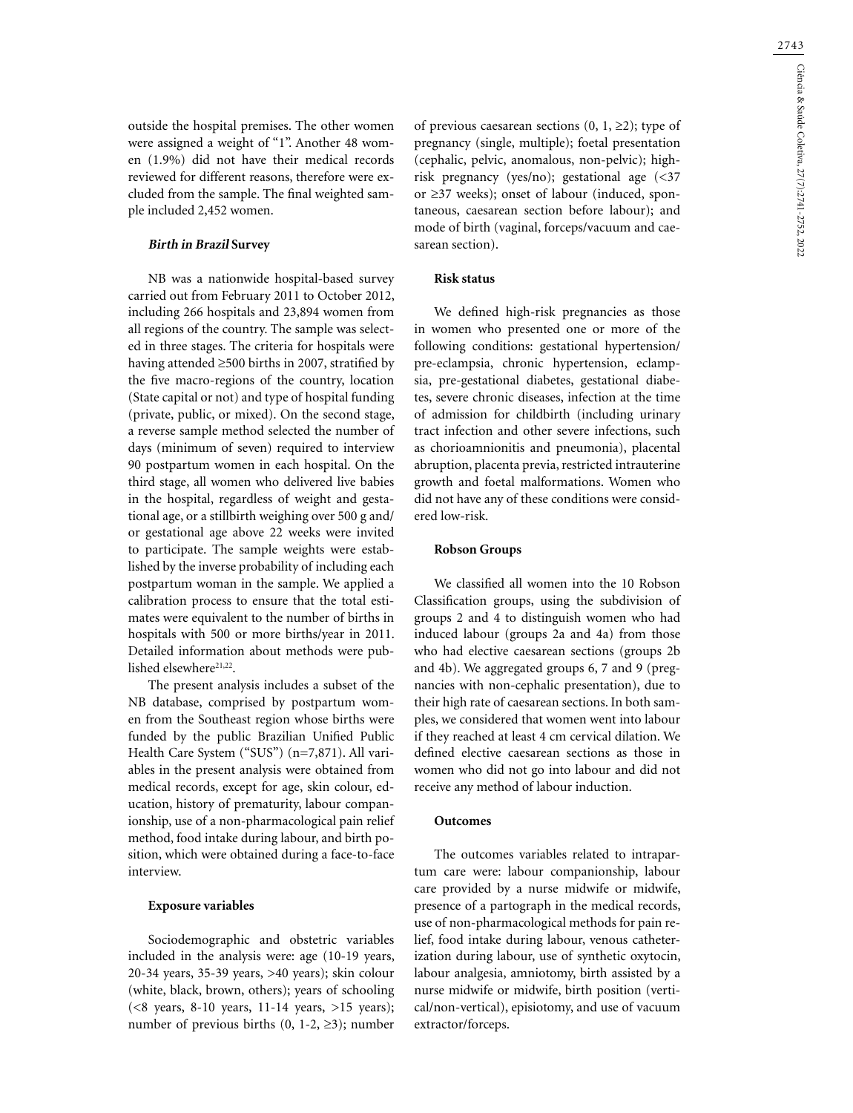outside the hospital premises. The other women were assigned a weight of "1". Another 48 women (1.9%) did not have their medical records reviewed for different reasons, therefore were excluded from the sample. The final weighted sample included 2,452 women.

## **Birth in Brazil Survey**

NB was a nationwide hospital-based survey carried out from February 2011 to October 2012, including 266 hospitals and 23,894 women from all regions of the country. The sample was selected in three stages. The criteria for hospitals were having attended ≥500 births in 2007, stratified by the five macro-regions of the country, location (State capital or not) and type of hospital funding (private, public, or mixed). On the second stage, a reverse sample method selected the number of days (minimum of seven) required to interview 90 postpartum women in each hospital. On the third stage, all women who delivered live babies in the hospital, regardless of weight and gestational age, or a stillbirth weighing over 500 g and/ or gestational age above 22 weeks were invited to participate. The sample weights were established by the inverse probability of including each postpartum woman in the sample. We applied a calibration process to ensure that the total estimates were equivalent to the number of births in hospitals with 500 or more births/year in 2011. Detailed information about methods were published elsewhere<sup>21,22</sup>.

The present analysis includes a subset of the NB database, comprised by postpartum women from the Southeast region whose births were funded by the public Brazilian Unified Public Health Care System ("SUS") (n=7,871). All variables in the present analysis were obtained from medical records, except for age, skin colour, education, history of prematurity, labour companionship, use of a non-pharmacological pain relief method, food intake during labour, and birth position, which were obtained during a face-to-face interview.

#### **Exposure variables**

Sociodemographic and obstetric variables included in the analysis were: age (10-19 years, 20-34 years, 35-39 years, >40 years); skin colour (white, black, brown, others); years of schooling  $(<8$  years, 8-10 years, 11-14 years, >15 years); number of previous births  $(0, 1-2, \geq 3)$ ; number of previous caesarean sections  $(0, 1, \geq 2)$ ; type of pregnancy (single, multiple); foetal presentation (cephalic, pelvic, anomalous, non-pelvic); highrisk pregnancy (yes/no); gestational age (<37 or ≥37 weeks); onset of labour (induced, spontaneous, caesarean section before labour); and mode of birth (vaginal, forceps/vacuum and caesarean section).

#### **Risk status**

We defined high-risk pregnancies as those in women who presented one or more of the following conditions: gestational hypertension/ pre-eclampsia, chronic hypertension, eclampsia, pre-gestational diabetes, gestational diabetes, severe chronic diseases, infection at the time of admission for childbirth (including urinary tract infection and other severe infections, such as chorioamnionitis and pneumonia), placental abruption, placenta previa, restricted intrauterine growth and foetal malformations. Women who did not have any of these conditions were considered low-risk.

#### **Robson Groups**

We classified all women into the 10 Robson Classification groups, using the subdivision of groups 2 and 4 to distinguish women who had induced labour (groups 2a and 4a) from those who had elective caesarean sections (groups 2b and 4b). We aggregated groups 6, 7 and 9 (pregnancies with non-cephalic presentation), due to their high rate of caesarean sections. In both samples, we considered that women went into labour if they reached at least 4 cm cervical dilation. We defined elective caesarean sections as those in women who did not go into labour and did not receive any method of labour induction.

### **Outcomes**

The outcomes variables related to intrapartum care were: labour companionship, labour care provided by a nurse midwife or midwife, presence of a partograph in the medical records, use of non-pharmacological methods for pain relief, food intake during labour, venous catheterization during labour, use of synthetic oxytocin, labour analgesia, amniotomy, birth assisted by a nurse midwife or midwife, birth position (vertical/non-vertical), episiotomy, and use of vacuum extractor/forceps.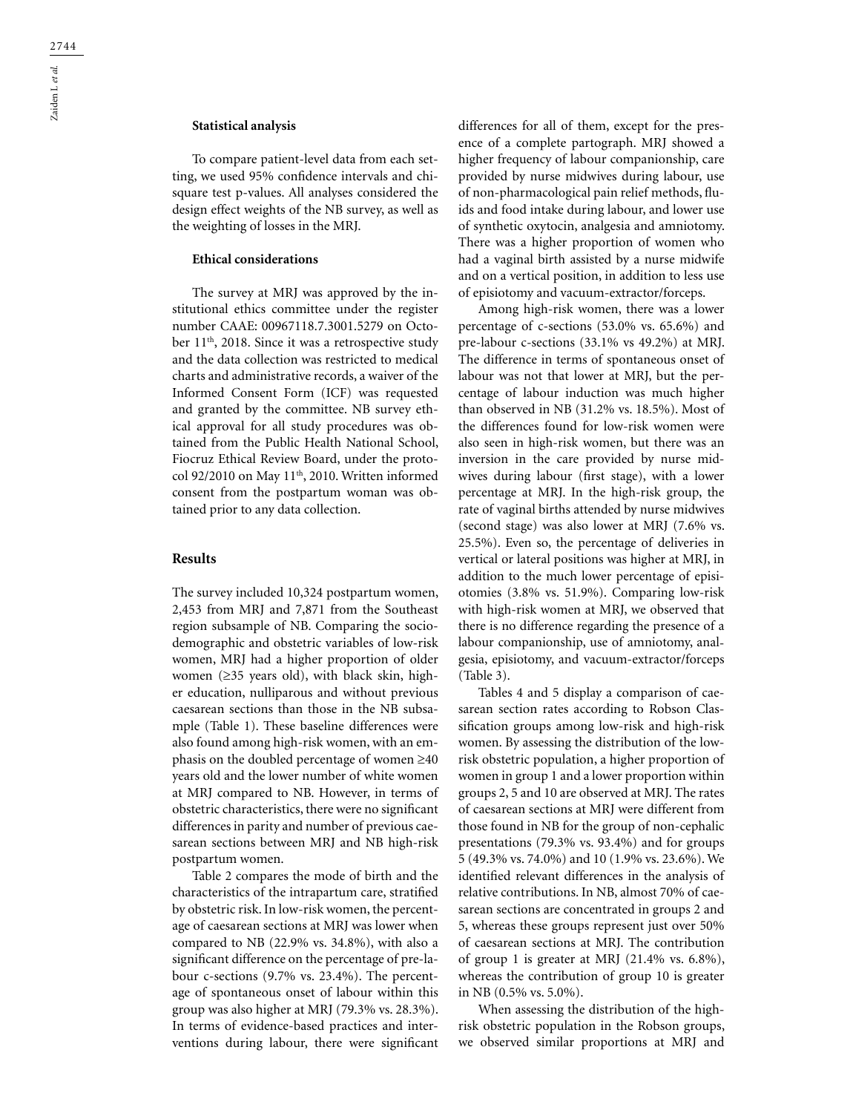#### **Statistical analysis**

To compare patient-level data from each setting, we used 95% confidence intervals and chisquare test p-values. All analyses considered the design effect weights of the NB survey, as well as the weighting of losses in the MRJ.

#### **Ethical considerations**

The survey at MRJ was approved by the institutional ethics committee under the register number CAAE: 00967118.7.3001.5279 on October 11th, 2018. Since it was a retrospective study and the data collection was restricted to medical charts and administrative records, a waiver of the Informed Consent Form (ICF) was requested and granted by the committee. NB survey ethical approval for all study procedures was obtained from the Public Health National School, Fiocruz Ethical Review Board, under the protocol 92/2010 on May 11<sup>th</sup>, 2010. Written informed consent from the postpartum woman was obtained prior to any data collection.

### **Results**

The survey included 10,324 postpartum women, 2,453 from MRJ and 7,871 from the Southeast region subsample of NB. Comparing the sociodemographic and obstetric variables of low-risk women, MRJ had a higher proportion of older women (≥35 years old), with black skin, higher education, nulliparous and without previous caesarean sections than those in the NB subsample (Table 1). These baseline differences were also found among high-risk women, with an emphasis on the doubled percentage of women ≥40 years old and the lower number of white women at MRJ compared to NB. However, in terms of obstetric characteristics, there were no significant differences in parity and number of previous caesarean sections between MRJ and NB high-risk postpartum women.

Table 2 compares the mode of birth and the characteristics of the intrapartum care, stratified by obstetric risk. In low-risk women, the percentage of caesarean sections at MRJ was lower when compared to NB (22.9% vs. 34.8%), with also a significant difference on the percentage of pre-labour c-sections (9.7% vs. 23.4%). The percentage of spontaneous onset of labour within this group was also higher at MRJ (79.3% vs. 28.3%). In terms of evidence-based practices and interventions during labour, there were significant differences for all of them, except for the presence of a complete partograph. MRJ showed a higher frequency of labour companionship, care provided by nurse midwives during labour, use of non-pharmacological pain relief methods, fluids and food intake during labour, and lower use of synthetic oxytocin, analgesia and amniotomy. There was a higher proportion of women who had a vaginal birth assisted by a nurse midwife and on a vertical position, in addition to less use of episiotomy and vacuum-extractor/forceps.

Among high-risk women, there was a lower percentage of c-sections (53.0% vs. 65.6%) and pre-labour c-sections (33.1% vs 49.2%) at MRJ. The difference in terms of spontaneous onset of labour was not that lower at MRJ, but the percentage of labour induction was much higher than observed in NB (31.2% vs. 18.5%). Most of the differences found for low-risk women were also seen in high-risk women, but there was an inversion in the care provided by nurse midwives during labour (first stage), with a lower percentage at MRJ. In the high-risk group, the rate of vaginal births attended by nurse midwives (second stage) was also lower at MRJ (7.6% vs. 25.5%). Even so, the percentage of deliveries in vertical or lateral positions was higher at MRJ, in addition to the much lower percentage of episiotomies (3.8% vs. 51.9%). Comparing low-risk with high-risk women at MRJ, we observed that there is no difference regarding the presence of a labour companionship, use of amniotomy, analgesia, episiotomy, and vacuum-extractor/forceps (Table 3).

Tables 4 and 5 display a comparison of caesarean section rates according to Robson Classification groups among low-risk and high-risk women. By assessing the distribution of the lowrisk obstetric population, a higher proportion of women in group 1 and a lower proportion within groups 2, 5 and 10 are observed at MRJ. The rates of caesarean sections at MRJ were different from those found in NB for the group of non-cephalic presentations (79.3% vs. 93.4%) and for groups 5 (49.3% vs. 74.0%) and 10 (1.9% vs. 23.6%). We identified relevant differences in the analysis of relative contributions. In NB, almost 70% of caesarean sections are concentrated in groups 2 and 5, whereas these groups represent just over 50% of caesarean sections at MRJ. The contribution of group 1 is greater at MRJ (21.4% vs. 6.8%), whereas the contribution of group 10 is greater in NB (0.5% vs. 5.0%).

When assessing the distribution of the highrisk obstetric population in the Robson groups, we observed similar proportions at MRJ and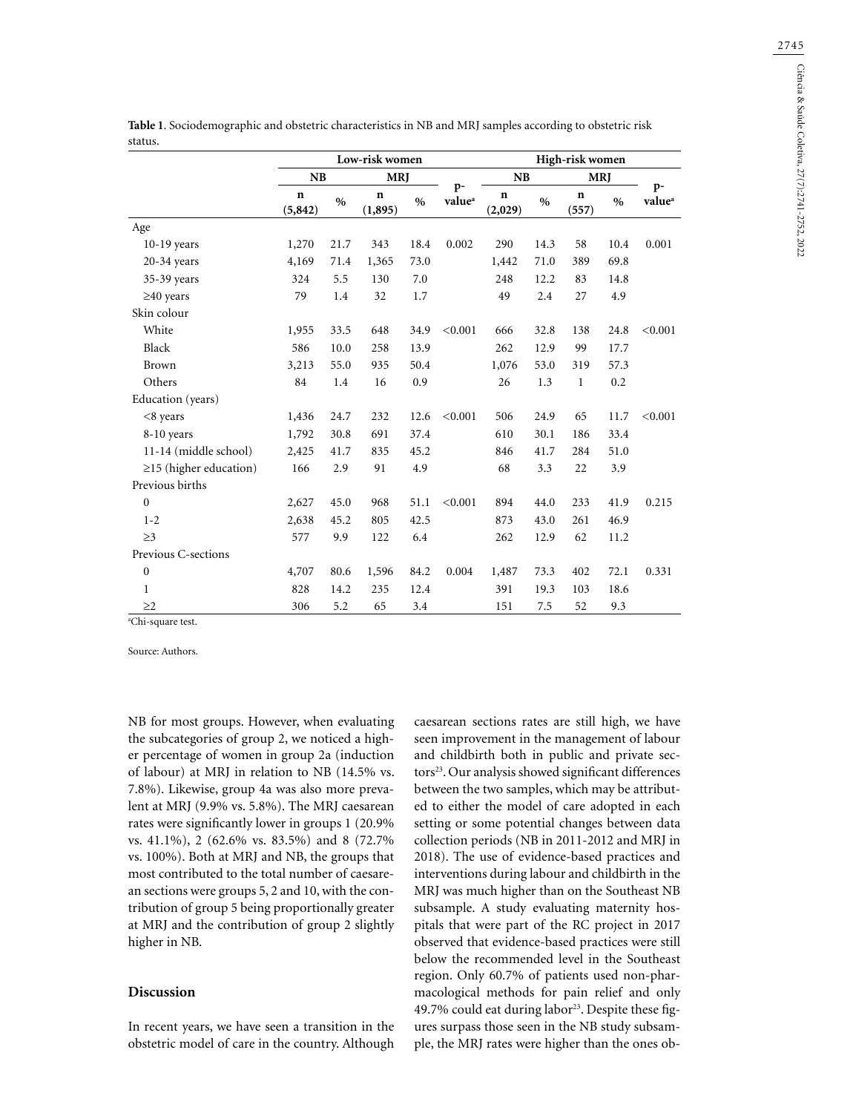|                              |                         | Low-risk women |                        |               |                            |                        |               |                      |               |                            |
|------------------------------|-------------------------|----------------|------------------------|---------------|----------------------------|------------------------|---------------|----------------------|---------------|----------------------------|
|                              | NB                      |                | <b>MRJ</b>             |               |                            | <b>NB</b>              |               | <b>MRJ</b>           |               |                            |
|                              | $\mathbf n$<br>(5, 842) | $\frac{0}{0}$  | $\mathbf n$<br>(1,895) | $\frac{0}{0}$ | $p-$<br>value <sup>a</sup> | $\mathbf n$<br>(2,029) | $\frac{0}{0}$ | $\mathbf n$<br>(557) | $\frac{0}{0}$ | $p-$<br>value <sup>a</sup> |
| Age                          |                         |                |                        |               |                            |                        |               |                      |               |                            |
| 10-19 years                  | 1,270                   | 21.7           | 343                    | 18.4          | 0.002                      | 290                    | 14.3          | 58                   | 10.4          | 0.001                      |
| $20-34$ years                | 4,169                   | 71.4           | 1,365                  | 73.0          |                            | 1,442                  | 71.0          | 389                  | 69.8          |                            |
| 35-39 years                  | 324                     | 5.5            | 130                    | 7.0           |                            | 248                    | 12.2          | 83                   | 14.8          |                            |
| $\geq$ 40 years              | 79                      | 1.4            | 32                     | 1.7           |                            | 49                     | 2.4           | 27                   | 4.9           |                            |
| Skin colour                  |                         |                |                        |               |                            |                        |               |                      |               |                            |
| White                        | 1,955                   | 33.5           | 648                    | 34.9          | < 0.001                    | 666                    | 32.8          | 138                  | 24.8          | < 0.001                    |
| Black                        | 586                     | 10.0           | 258                    | 13.9          |                            | 262                    | 12.9          | 99                   | 17.7          |                            |
| Brown                        | 3,213                   | 55.0           | 935                    | 50.4          |                            | 1,076                  | 53.0          | 319                  | 57.3          |                            |
| Others                       | 84                      | 1.4            | 16                     | 0.9           |                            | 26                     | 1.3           | $\mathbf{1}$         | 0.2           |                            |
| Education (years)            |                         |                |                        |               |                            |                        |               |                      |               |                            |
| $<8$ years                   | 1,436                   | 24.7           | 232                    | 12.6          | < 0.001                    | 506                    | 24.9          | 65                   | 11.7          | < 0.001                    |
| 8-10 years                   | 1,792                   | 30.8           | 691                    | 37.4          |                            | 610                    | 30.1          | 186                  | 33.4          |                            |
| 11-14 (middle school)        | 2,425                   | 41.7           | 835                    | 45.2          |                            | 846                    | 41.7          | 284                  | 51.0          |                            |
| $\geq$ 15 (higher education) | 166                     | 2.9            | 91                     | 4.9           |                            | 68                     | 3.3           | 22                   | 3.9           |                            |
| Previous births              |                         |                |                        |               |                            |                        |               |                      |               |                            |
| $\boldsymbol{0}$             | 2,627                   | 45.0           | 968                    | 51.1          | < 0.001                    | 894                    | 44.0          | 233                  | 41.9          | 0.215                      |
| $1 - 2$                      | 2,638                   | 45.2           | 805                    | 42.5          |                            | 873                    | 43.0          | 261                  | 46.9          |                            |
| $\geq$ 3                     | 577                     | 9.9            | 122                    | 6.4           |                            | 262                    | 12.9          | 62                   | 11.2          |                            |
| Previous C-sections          |                         |                |                        |               |                            |                        |               |                      |               |                            |
| $\boldsymbol{0}$             | 4,707                   | 80.6           | 1,596                  | 84.2          | 0.004                      | 1,487                  | 73.3          | 402                  | 72.1          | 0.331                      |
| $\mathbf{1}$                 | 828                     | 14.2           | 235                    | 12.4          |                            | 391                    | 19.3          | 103                  | 18.6          |                            |
| >2                           | 306                     | 5.2            | 65                     | 3.4           |                            | 151                    | 7.5           | 52                   | 9.3           |                            |

**Table 1**. Sociodemographic and obstetric characteristics in NB and MRJ samples according to obstetric risk

Source: Authors.

NB for most groups. However, when evaluating the subcategories of group 2, we noticed a higher percentage of women in group 2a (induction of labour) at MRJ in relation to NB (14.5% vs. 7.8%). Likewise, group 4a was also more prevalent at MRJ (9.9% vs. 5.8%). The MRJ caesarean rates were significantly lower in groups 1 (20.9% vs. 41.1%), 2 (62.6% vs. 83.5%) and 8 (72.7% vs. 100%). Both at MRJ and NB, the groups that most contributed to the total number of caesarean sections were groups 5, 2 and 10, with the contribution of group 5 being proportionally greater at MRJ and the contribution of group 2 slightly higher in NB.

## **Discussion**

In recent years, we have seen a transition in the obstetric model of care in the country. Although caesarean sections rates are still high, we have seen improvement in the management of labour and childbirth both in public and private sectors<sup>23</sup>. Our analysis showed significant differences between the two samples, which may be attributed to either the model of care adopted in each setting or some potential changes between data collection periods (NB in 2011-2012 and MRJ in 2018). The use of evidence-based practices and interventions during labour and childbirth in the MRJ was much higher than on the Southeast NB subsample. A study evaluating maternity hospitals that were part of the RC project in 2017 observed that evidence-based practices were still below the recommended level in the Southeast region. Only 60.7% of patients used non-pharmacological methods for pain relief and only 49.7% could eat during labor<sup>23</sup>. Despite these figures surpass those seen in the NB study subsample, the MRJ rates were higher than the ones ob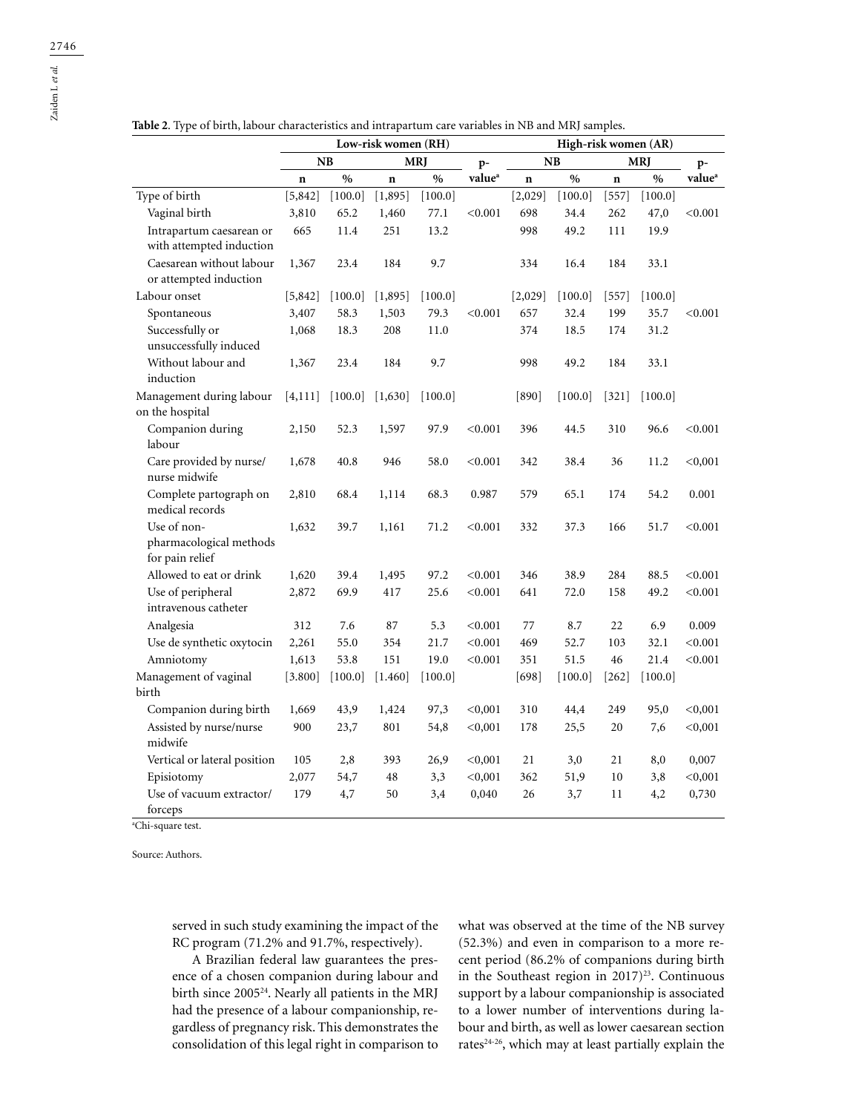Zaiden L *et al.*

|                                                           | Low-risk women (RH) |           |             |            |                    | High-risk women (AR) |           |             |            |                    |  |  |
|-----------------------------------------------------------|---------------------|-----------|-------------|------------|--------------------|----------------------|-----------|-------------|------------|--------------------|--|--|
|                                                           |                     | NB        |             | <b>MRJ</b> | $p-$               |                      | NB        |             | <b>MRJ</b> | $p-$               |  |  |
|                                                           | n                   | $\%$      | $\mathbf n$ | $\%$       | value <sup>a</sup> | $\mathbf n$          | $\%$      | $\mathbf n$ | $\%$       | value <sup>a</sup> |  |  |
| Type of birth                                             | [5, 842]            | $[100.0]$ | [1, 895]    | [100.0]    |                    | [2,029]              | [100.0]   | $[557]$     | $[100.0]$  |                    |  |  |
| Vaginal birth                                             | 3,810               | 65.2      | 1,460       | 77.1       | < 0.001            | 698                  | 34.4      | 262         | 47,0       | < 0.001            |  |  |
| Intrapartum caesarean or<br>with attempted induction      | 665                 | 11.4      | 251         | 13.2       |                    | 998                  | 49.2      | 111         | 19.9       |                    |  |  |
| Caesarean without labour<br>or attempted induction        | 1,367               | 23.4      | 184         | 9.7        |                    | 334                  | 16.4      | 184         | 33.1       |                    |  |  |
| Labour onset                                              | [5,842]             | [100.0]   | [1,895]     | [100.0]    |                    | [2,029]              | [100.0]   | $[557]$     | [100.0]    |                    |  |  |
| Spontaneous                                               | 3,407               | 58.3      | 1,503       | 79.3       | < 0.001            | 657                  | 32.4      | 199         | 35.7       | < 0.001            |  |  |
| Successfully or<br>unsuccessfully induced                 | 1,068               | 18.3      | 208         | 11.0       |                    | 374                  | 18.5      | 174         | 31.2       |                    |  |  |
| Without labour and<br>induction                           | 1,367               | 23.4      | 184         | 9.7        |                    | 998                  | 49.2      | 184         | 33.1       |                    |  |  |
| Management during labour<br>on the hospital               | [4, 111]            | [100.0]   | [1,630]     | [100.0]    |                    | [890]                | [100.0]   | $[321]$     | [100.0]    |                    |  |  |
| Companion during<br>labour                                | 2,150               | 52.3      | 1,597       | 97.9       | < 0.001            | 396                  | 44.5      | 310         | 96.6       | < 0.001            |  |  |
| Care provided by nurse/<br>nurse midwife                  | 1,678               | 40.8      | 946         | 58.0       | < 0.001            | 342                  | 38.4      | 36          | 11.2       | < 0,001            |  |  |
| Complete partograph on<br>medical records                 | 2,810               | 68.4      | 1,114       | 68.3       | 0.987              | 579                  | 65.1      | 174         | 54.2       | 0.001              |  |  |
| Use of non-<br>pharmacological methods<br>for pain relief | 1,632               | 39.7      | 1,161       | 71.2       | < 0.001            | 332                  | 37.3      | 166         | 51.7       | < 0.001            |  |  |
| Allowed to eat or drink                                   | 1,620               | 39.4      | 1,495       | 97.2       | < 0.001            | 346                  | 38.9      | 284         | 88.5       | < 0.001            |  |  |
| Use of peripheral<br>intravenous catheter                 | 2,872               | 69.9      | 417         | 25.6       | < 0.001            | 641                  | 72.0      | 158         | 49.2       | < 0.001            |  |  |
| Analgesia                                                 | 312                 | 7.6       | 87          | 5.3        | < 0.001            | 77                   | 8.7       | 22          | 6.9        | 0.009              |  |  |
| Use de synthetic oxytocin                                 | 2,261               | 55.0      | 354         | 21.7       | < 0.001            | 469                  | 52.7      | 103         | 32.1       | < 0.001            |  |  |
| Amniotomy                                                 | 1,613               | 53.8      | 151         | 19.0       | < 0.001            | 351                  | 51.5      | 46          | 21.4       | < 0.001            |  |  |
| Management of vaginal<br>birth                            | [3.800]             | [100.0]   | [1.460]     | [100.0]    |                    | $[698]$              | $[100.0]$ | $[262]$     | [100.0]    |                    |  |  |
| Companion during birth                                    | 1,669               | 43,9      | 1,424       | 97,3       | < 0,001            | 310                  | 44,4      | 249         | 95,0       | < 0,001            |  |  |
| Assisted by nurse/nurse<br>midwife                        | 900                 | 23,7      | 801         | 54,8       | < 0,001            | 178                  | 25,5      | 20          | 7,6        | < 0,001            |  |  |
| Vertical or lateral position                              | 105                 | 2,8       | 393         | 26,9       | < 0,001            | 21                   | 3,0       | 21          | 8,0        | 0,007              |  |  |
| Episiotomy                                                | 2,077               | 54,7      | 48          | 3,3        | < 0,001            | 362                  | 51,9      | 10          | 3,8        | < 0,001            |  |  |
| Use of vacuum extractor/<br>forceps                       | 179                 | 4,7       | 50          | 3,4        | 0,040              | 26                   | 3,7       | 11          | 4,2        | 0,730              |  |  |

**Table 2**. Type of birth, labour characteristics and intrapartum care variables in NB and MRJ samples.

a Chi-square test.

Source: Authors.

served in such study examining the impact of the RC program (71.2% and 91.7%, respectively).

A Brazilian federal law guarantees the presence of a chosen companion during labour and birth since 2005<sup>24</sup>. Nearly all patients in the MRJ had the presence of a labour companionship, regardless of pregnancy risk. This demonstrates the consolidation of this legal right in comparison to

what was observed at the time of the NB survey (52.3%) and even in comparison to a more recent period (86.2% of companions during birth in the Southeast region in  $2017)^{23}$ . Continuous support by a labour companionship is associated to a lower number of interventions during labour and birth, as well as lower caesarean section rates<sup>24-26</sup>, which may at least partially explain the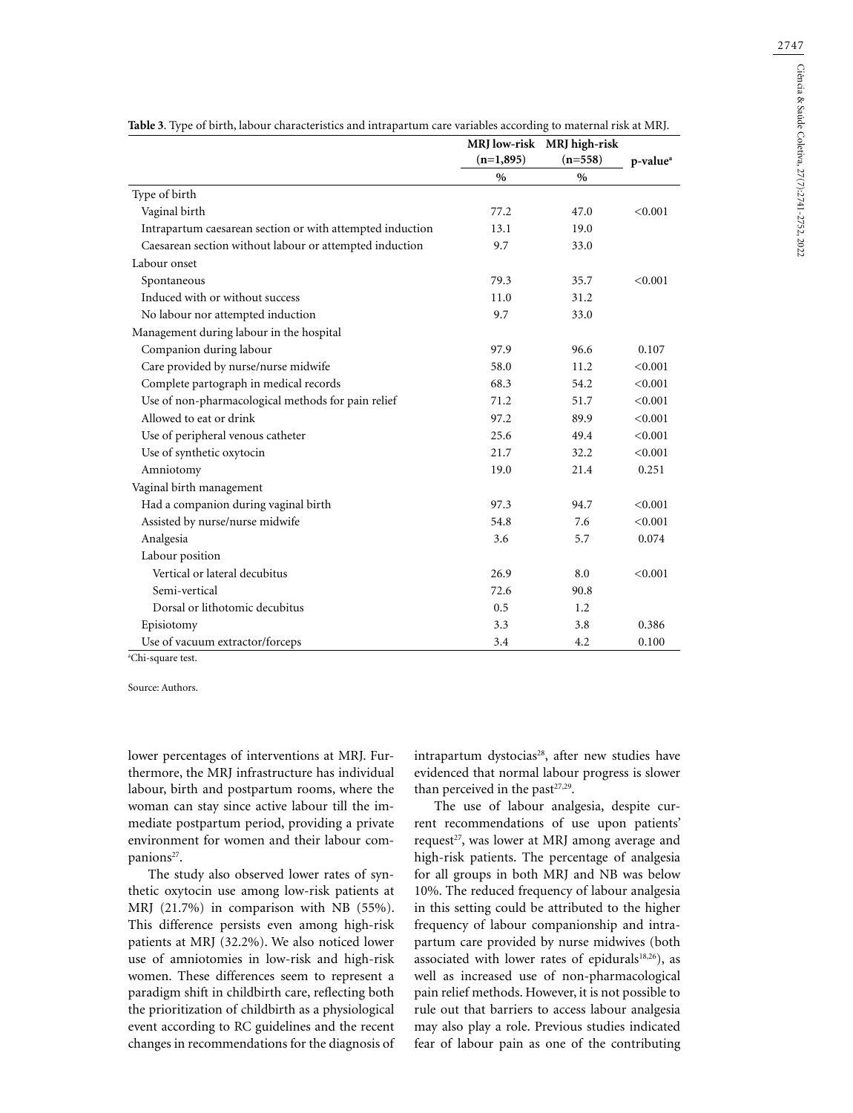|                                                           |             | MRJ low-risk MRJ high-risk |                      |
|-----------------------------------------------------------|-------------|----------------------------|----------------------|
|                                                           | $(n=1,895)$ | $(n=558)$                  | p-value <sup>a</sup> |
|                                                           | $\%$        | $\frac{0}{0}$              |                      |
| Type of birth                                             |             |                            |                      |
| Vaginal birth                                             | 77.2        | 47.0                       | < 0.001              |
| Intrapartum caesarean section or with attempted induction | 13.1        | 19.0                       |                      |
| Caesarean section without labour or attempted induction   | 9.7         | 33.0                       |                      |
| Labour onset                                              |             |                            |                      |
| Spontaneous                                               | 79.3        | 35.7                       | < 0.001              |
| Induced with or without success                           | 11.0        | 31.2                       |                      |
| No labour nor attempted induction                         | 9.7         | 33.0                       |                      |
| Management during labour in the hospital                  |             |                            |                      |
| Companion during labour                                   | 97.9        | 96.6                       | 0.107                |
| Care provided by nurse/nurse midwife                      | 58.0        | 11.2                       | < 0.001              |
| Complete partograph in medical records                    | 68.3        | 54.2                       | < 0.001              |
| Use of non-pharmacological methods for pain relief        | 71.2        | 51.7                       | < 0.001              |
| Allowed to eat or drink                                   | 97.2        | 89.9                       | < 0.001              |
| Use of peripheral venous catheter                         | 25.6        | 49.4                       | < 0.001              |
| Use of synthetic oxytocin                                 | 21.7        | 32.2                       | < 0.001              |
| Amniotomy                                                 | 19.0        | 21.4                       | 0.251                |
| Vaginal birth management                                  |             |                            |                      |
| Had a companion during vaginal birth                      | 97.3        | 94.7                       | < 0.001              |
| Assisted by nurse/nurse midwife                           | 54.8        | 7.6                        | < 0.001              |
| Analgesia                                                 | 3.6         | 5.7                        | 0.074                |
| Labour position                                           |             |                            |                      |
| Vertical or lateral decubitus                             | 26.9        | 8.0                        | < 0.001              |
| Semi-vertical                                             | 72.6        | 90.8                       |                      |
| Dorsal or lithotomic decubitus                            | 0.5         | 1.2                        |                      |
| Episiotomy                                                | 3.3         | 3.8                        | 0.386                |
| Use of vacuum extractor/forceps                           | 3.4         | 4.2                        | 0.100                |
| <sup>a</sup> Chi-square test.                             |             |                            |                      |

**Table 3**. Type of birth, labour characteristics and intrapartum care variables according to maternal risk at MRJ.

Source: Authors.

lower percentages of interventions at MRJ. Furthermore, the MRJ infrastructure has individual labour, birth and postpartum rooms, where the woman can stay since active labour till the immediate postpartum period, providing a private environment for women and their labour companions<sup>27</sup>.

The study also observed lower rates of synthetic oxytocin use among low-risk patients at MRJ (21.7%) in comparison with NB (55%). This difference persists even among high-risk patients at MRJ (32.2%). We also noticed lower use of amniotomies in low-risk and high-risk women. These differences seem to represent a paradigm shift in childbirth care, reflecting both the prioritization of childbirth as a physiological event according to RC guidelines and the recent changes in recommendations for the diagnosis of intrapartum dystocias<sup>28</sup>, after new studies have evidenced that normal labour progress is slower than perceived in the past<sup>27,29</sup>.

The use of labour analgesia, despite current recommendations of use upon patients' request<sup>27</sup>, was lower at MRJ among average and high-risk patients. The percentage of analgesia for all groups in both MRJ and NB was below 10%. The reduced frequency of labour analgesia in this setting could be attributed to the higher frequency of labour companionship and intrapartum care provided by nurse midwives (both associated with lower rates of epidurals<sup>18,26</sup>), as well as increased use of non-pharmacological pain relief methods. However, it is not possible to rule out that barriers to access labour analgesia may also play a role. Previous studies indicated fear of labour pain as one of the contributing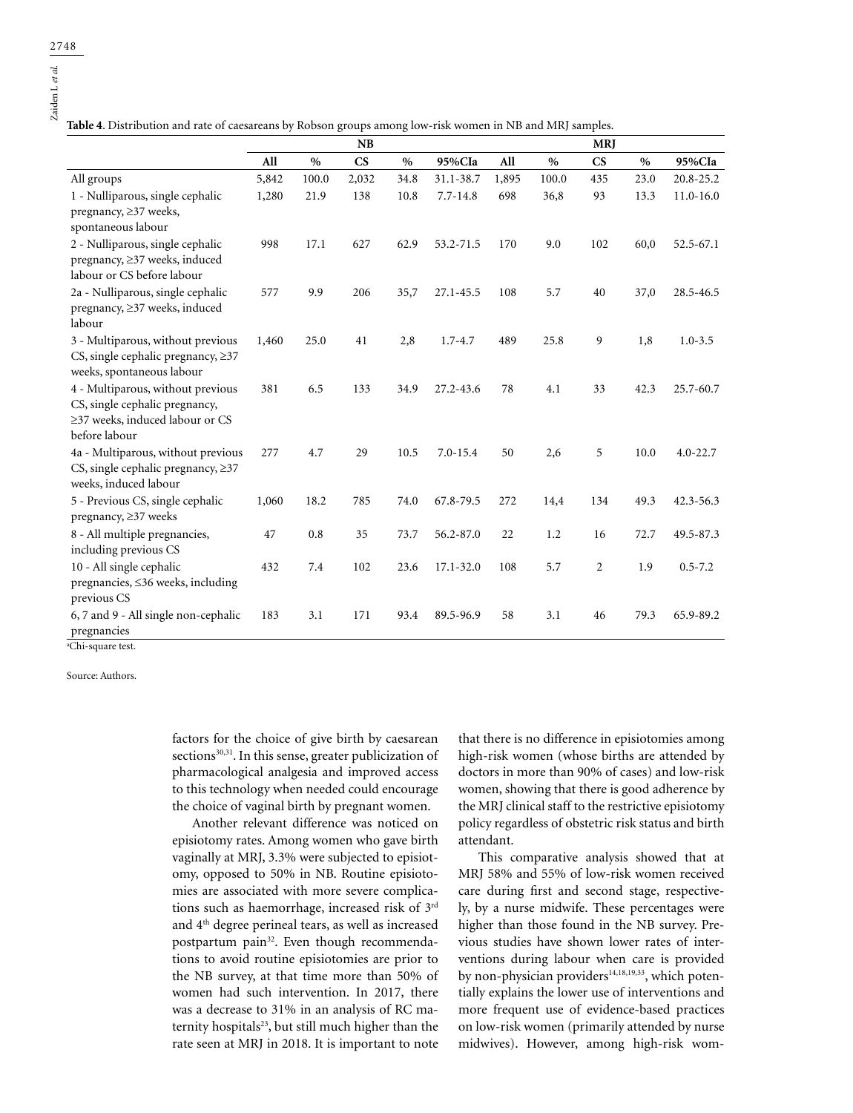**Table 4**. Distribution and rate of caesareans by Robson groups among low-risk women in NB and MRJ samples.

|                                                                                                                         |       |       | <b>NB</b>              |               |               |       |       | <b>MRJ</b>             |               |               |
|-------------------------------------------------------------------------------------------------------------------------|-------|-------|------------------------|---------------|---------------|-------|-------|------------------------|---------------|---------------|
|                                                                                                                         | All   | $\%$  | $\overline{\text{CS}}$ | $\frac{0}{0}$ | 95%CIa        | All   | $\%$  | $\mathbf{C}\mathbf{S}$ | $\frac{0}{0}$ | 95%CIa        |
| All groups                                                                                                              | 5,842 | 100.0 | 2,032                  | 34.8          | 31.1-38.7     | 1,895 | 100.0 | 435                    | 23.0          | 20.8-25.2     |
| 1 - Nulliparous, single cephalic<br>pregnancy, ≥37 weeks,<br>spontaneous labour                                         | 1,280 | 21.9  | 138                    | 10.8          | $7.7 - 14.8$  | 698   | 36,8  | 93                     | 13.3          | $11.0 - 16.0$ |
| 2 - Nulliparous, single cephalic<br>pregnancy, ≥37 weeks, induced<br>labour or CS before labour                         | 998   | 17.1  | 627                    | 62.9          | 53.2-71.5     | 170   | 9.0   | 102                    | 60,0          | 52.5-67.1     |
| 2a - Nulliparous, single cephalic<br>pregnancy, ≥37 weeks, induced<br>labour                                            | 577   | 9.9   | 206                    | 35,7          | 27.1-45.5     | 108   | 5.7   | 40                     | 37,0          | 28.5-46.5     |
| 3 - Multiparous, without previous<br>CS, single cephalic pregnancy, $\geq$ 37<br>weeks, spontaneous labour              | 1,460 | 25.0  | 41                     | 2,8           | $1.7 - 4.7$   | 489   | 25.8  | 9                      | 1,8           | $1.0 - 3.5$   |
| 4 - Multiparous, without previous<br>CS, single cephalic pregnancy,<br>≥37 weeks, induced labour or CS<br>before labour | 381   | 6.5   | 133                    | 34.9          | 27.2-43.6     | 78    | 4.1   | 33                     | 42.3          | 25.7-60.7     |
| 4a - Multiparous, without previous<br>CS, single cephalic pregnancy, $\geq$ 37<br>weeks, induced labour                 | 277   | 4.7   | 29                     | 10.5          | $7.0 - 15.4$  | 50    | 2,6   | 5                      | 10.0          | $4.0 - 22.7$  |
| 5 - Previous CS, single cephalic<br>pregnancy, ≥37 weeks                                                                | 1,060 | 18.2  | 785                    | 74.0          | 67.8-79.5     | 272   | 14,4  | 134                    | 49.3          | $42.3 - 56.3$ |
| 8 - All multiple pregnancies,<br>including previous CS                                                                  | 47    | 0.8   | 35                     | 73.7          | 56.2-87.0     | 22    | 1.2   | 16                     | 72.7          | 49.5-87.3     |
| 10 - All single cephalic<br>pregnancies, ≤36 weeks, including<br>previous CS                                            | 432   | 7.4   | 102                    | 23.6          | $17.1 - 32.0$ | 108   | 5.7   | $\overline{2}$         | 1.9           | $0.5 - 7.2$   |
| 6, 7 and 9 - All single non-cephalic<br>pregnancies                                                                     | 183   | 3.1   | 171                    | 93.4          | 89.5-96.9     | 58    | 3.1   | 46                     | 79.3          | 65.9-89.2     |

a Chi-square test.

Source: Authors.

factors for the choice of give birth by caesarean sections<sup>30,31</sup>. In this sense, greater publicization of pharmacological analgesia and improved access to this technology when needed could encourage the choice of vaginal birth by pregnant women.

Another relevant difference was noticed on episiotomy rates. Among women who gave birth vaginally at MRJ, 3.3% were subjected to episiotomy, opposed to 50% in NB. Routine episiotomies are associated with more severe complications such as haemorrhage, increased risk of 3rd and 4th degree perineal tears, as well as increased postpartum pain<sup>32</sup>. Even though recommendations to avoid routine episiotomies are prior to the NB survey, at that time more than 50% of women had such intervention. In 2017, there was a decrease to 31% in an analysis of RC maternity hospitals<sup>23</sup>, but still much higher than the rate seen at MRJ in 2018. It is important to note

that there is no difference in episiotomies among high-risk women (whose births are attended by doctors in more than 90% of cases) and low-risk women, showing that there is good adherence by the MRJ clinical staff to the restrictive episiotomy policy regardless of obstetric risk status and birth attendant.

This comparative analysis showed that at MRJ 58% and 55% of low-risk women received care during first and second stage, respectively, by a nurse midwife. These percentages were higher than those found in the NB survey. Previous studies have shown lower rates of interventions during labour when care is provided by non-physician providers<sup>14,18,19,33</sup>, which potentially explains the lower use of interventions and more frequent use of evidence-based practices on low-risk women (primarily attended by nurse midwives). However, among high-risk wom-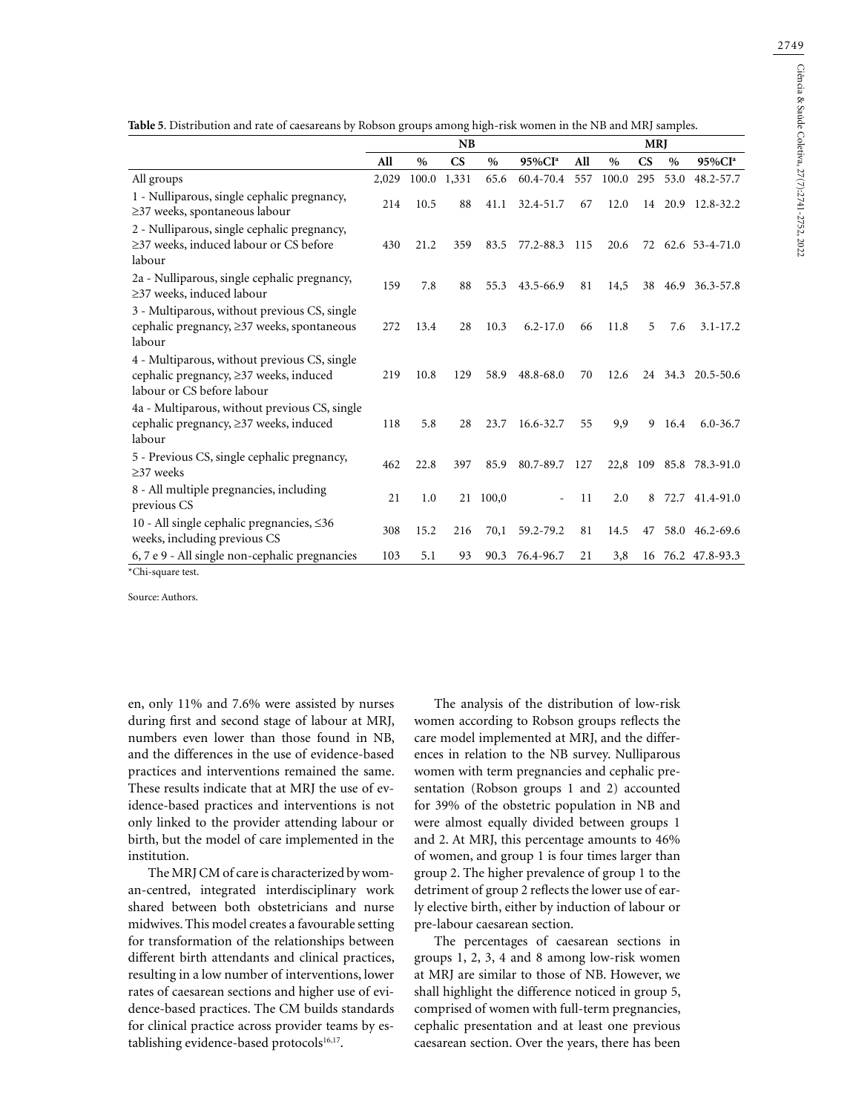|                                                                                                                      | NB    |       |                        |       |                    |     | <b>MRJ</b> |                        |         |                         |  |
|----------------------------------------------------------------------------------------------------------------------|-------|-------|------------------------|-------|--------------------|-----|------------|------------------------|---------|-------------------------|--|
|                                                                                                                      | All   | $\%$  | $\mathbf{C}\mathbf{S}$ | $\%$  | 95%CI <sup>a</sup> | All | $\%$       | $\mathbf{C}\mathbf{S}$ | $\%$    | 95%CI <sup>a</sup>      |  |
| All groups                                                                                                           | 2,029 | 100.0 | 1,331                  | 65.6  | 60.4-70.4          | 557 | 100.0      | 295                    | 53.0    | 48.2-57.7               |  |
| 1 - Nulliparous, single cephalic pregnancy,<br>$\geq$ 37 weeks, spontaneous labour                                   | 214   | 10.5  | 88                     | 41.1  | 32.4-51.7          | 67  | 12.0       |                        | 14 20.9 | 12.8-32.2               |  |
| 2 - Nulliparous, single cephalic pregnancy,<br>$\geq$ 37 weeks, induced labour or CS before<br>labour                | 430   | 21.2  | 359                    | 83.5  | 77.2-88.3          | 115 | 20.6       |                        |         | 72 62.6 53-4-71.0       |  |
| 2a - Nulliparous, single cephalic pregnancy,<br>≥37 weeks, induced labour                                            | 159   | 7.8   | 88                     | 55.3  | 43.5-66.9          | 81  | 14,5       |                        |         | 38 46.9 36.3-57.8       |  |
| 3 - Multiparous, without previous CS, single<br>cephalic pregnancy, $\geq$ 37 weeks, spontaneous<br>labour           | 272   | 13.4  | 28                     | 10.3  | $6.2 - 17.0$       | 66  | 11.8       | 5                      | 7.6     | $3.1 - 17.2$            |  |
| 4 - Multiparous, without previous CS, single<br>cephalic pregnancy, ≥37 weeks, induced<br>labour or CS before labour | 219   | 10.8  | 129                    | 58.9  | 48.8-68.0          | 70  | 12.6       |                        |         | 24 34.3 20.5-50.6       |  |
| 4a - Multiparous, without previous CS, single<br>cephalic pregnancy, ≥37 weeks, induced<br>labour                    | 118   | 5.8   | 28                     | 23.7  | 16.6-32.7          | 55  | 9,9        | 9                      | 16.4    | $6.0 - 36.7$            |  |
| 5 - Previous CS, single cephalic pregnancy,<br>$\geq$ 37 weeks                                                       | 462   | 22.8  | 397                    | 85.9  | 80.7-89.7          | 127 |            |                        |         | 22,8 109 85.8 78.3-91.0 |  |
| 8 - All multiple pregnancies, including<br>previous CS                                                               | 21    | 1.0   | 21                     | 100,0 |                    | 11  | 2.0        | 8                      | 72.7    | 41.4-91.0               |  |
| 10 - All single cephalic pregnancies, ≤36<br>weeks, including previous CS                                            | 308   | 15.2  | 216                    | 70,1  | 59.2-79.2          | 81  | 14.5       | 47                     |         | 58.0 46.2-69.6          |  |
| 6, 7 e 9 - All single non-cephalic pregnancies<br>*Chi-square test.                                                  | 103   | 5.1   | 93                     | 90.3  | 76.4-96.7          | 21  | 3,8        |                        |         | 16 76.2 47.8-93.3       |  |

**Table 5**. Distribution and rate of caesareans by Robson groups among high-risk women in the NB and MRJ samples.

Source: Authors.

en, only 11% and 7.6% were assisted by nurses during first and second stage of labour at MRJ, numbers even lower than those found in NB, and the differences in the use of evidence-based practices and interventions remained the same. These results indicate that at MRJ the use of evidence-based practices and interventions is not only linked to the provider attending labour or birth, but the model of care implemented in the institution.

The MRJ CM of care is characterized by woman-centred, integrated interdisciplinary work shared between both obstetricians and nurse midwives. This model creates a favourable setting for transformation of the relationships between different birth attendants and clinical practices, resulting in a low number of interventions, lower rates of caesarean sections and higher use of evidence-based practices. The CM builds standards for clinical practice across provider teams by establishing evidence-based protocols<sup>16,17</sup>.

The analysis of the distribution of low-risk women according to Robson groups reflects the care model implemented at MRJ, and the differences in relation to the NB survey. Nulliparous women with term pregnancies and cephalic presentation (Robson groups 1 and 2) accounted for 39% of the obstetric population in NB and were almost equally divided between groups 1 and 2. At MRJ, this percentage amounts to 46% of women, and group 1 is four times larger than group 2. The higher prevalence of group 1 to the detriment of group 2 reflects the lower use of early elective birth, either by induction of labour or pre-labour caesarean section.

The percentages of caesarean sections in groups 1, 2, 3, 4 and 8 among low-risk women at MRJ are similar to those of NB. However, we shall highlight the difference noticed in group 5, comprised of women with full-term pregnancies, cephalic presentation and at least one previous caesarean section. Over the years, there has been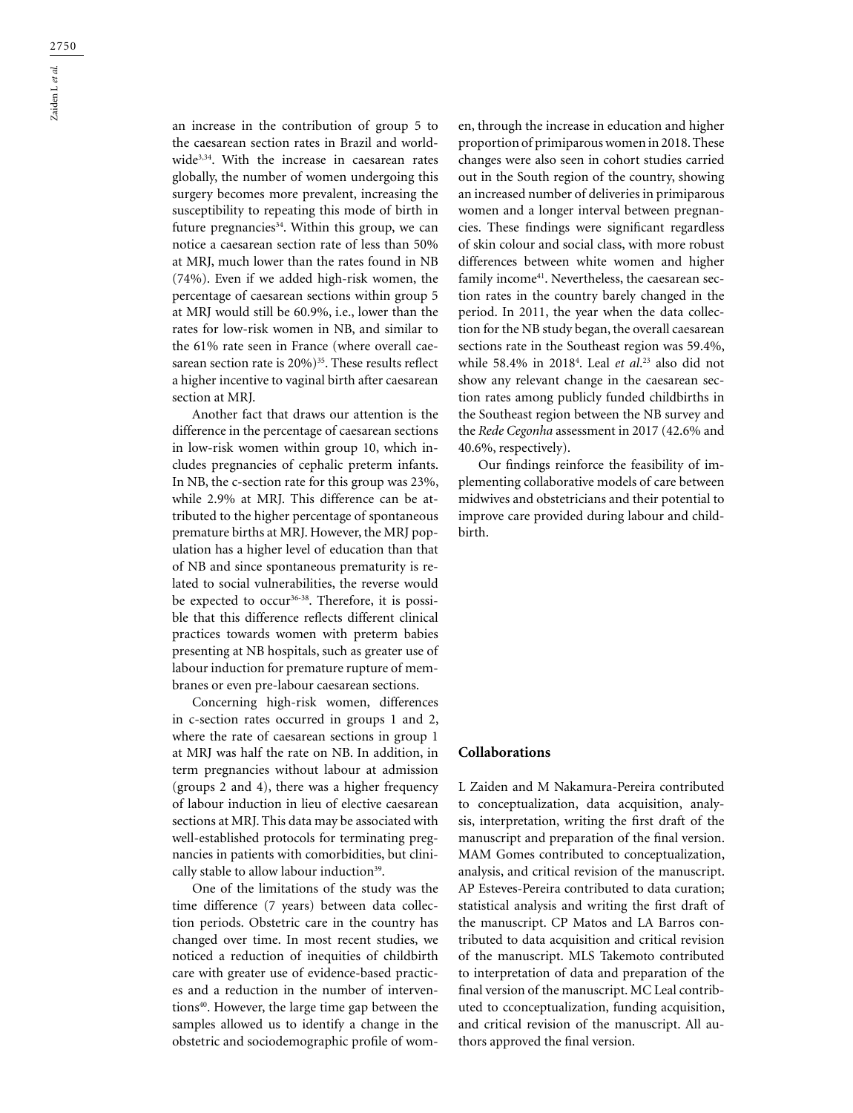$\frac{2750}{\text{23.2}}$ Zaiden L *et al.*

an increase in the contribution of group 5 to the caesarean section rates in Brazil and worldwide<sup>3,34</sup>. With the increase in caesarean rates globally, the number of women undergoing this surgery becomes more prevalent, increasing the susceptibility to repeating this mode of birth in future pregnancies<sup>34</sup>. Within this group, we can notice a caesarean section rate of less than 50% at MRJ, much lower than the rates found in NB (74%). Even if we added high-risk women, the percentage of caesarean sections within group 5 at MRJ would still be 60.9%, i.e., lower than the rates for low-risk women in NB, and similar to the 61% rate seen in France (where overall caesarean section rate is 20%)<sup>35</sup>. These results reflect a higher incentive to vaginal birth after caesarean section at MRJ.

Another fact that draws our attention is the difference in the percentage of caesarean sections in low-risk women within group 10, which includes pregnancies of cephalic preterm infants. In NB, the c-section rate for this group was 23%, while 2.9% at MRJ. This difference can be attributed to the higher percentage of spontaneous premature births at MRJ. However, the MRJ population has a higher level of education than that of NB and since spontaneous prematurity is related to social vulnerabilities, the reverse would be expected to occur<sup>36-38</sup>. Therefore, it is possible that this difference reflects different clinical practices towards women with preterm babies presenting at NB hospitals, such as greater use of labour induction for premature rupture of membranes or even pre-labour caesarean sections.

Concerning high-risk women, differences in c-section rates occurred in groups 1 and 2, where the rate of caesarean sections in group 1 at MRJ was half the rate on NB. In addition, in term pregnancies without labour at admission (groups 2 and 4), there was a higher frequency of labour induction in lieu of elective caesarean sections at MRJ. This data may be associated with well-established protocols for terminating pregnancies in patients with comorbidities, but clinically stable to allow labour induction<sup>39</sup>.

One of the limitations of the study was the time difference (7 years) between data collection periods. Obstetric care in the country has changed over time. In most recent studies, we noticed a reduction of inequities of childbirth care with greater use of evidence-based practices and a reduction in the number of interventions<sup>40</sup>. However, the large time gap between the samples allowed us to identify a change in the obstetric and sociodemographic profile of women, through the increase in education and higher proportion of primiparous women in 2018. These changes were also seen in cohort studies carried out in the South region of the country, showing an increased number of deliveries in primiparous women and a longer interval between pregnancies. These findings were significant regardless of skin colour and social class, with more robust differences between white women and higher family income<sup>41</sup>. Nevertheless, the caesarean section rates in the country barely changed in the period. In 2011, the year when the data collection for the NB study began, the overall caesarean sections rate in the Southeast region was 59.4%, while 58.4% in 20184 . Leal *et al*. 23 also did not show any relevant change in the caesarean section rates among publicly funded childbirths in the Southeast region between the NB survey and the *Rede Cegonha* assessment in 2017 (42.6% and 40.6%, respectively).

Our findings reinforce the feasibility of implementing collaborative models of care between midwives and obstetricians and their potential to improve care provided during labour and childbirth.

#### **Collaborations**

L Zaiden and M Nakamura-Pereira contributed to conceptualization, data acquisition, analysis, interpretation, writing the first draft of the manuscript and preparation of the final version. MAM Gomes contributed to conceptualization, analysis, and critical revision of the manuscript. AP Esteves-Pereira contributed to data curation; statistical analysis and writing the first draft of the manuscript. CP Matos and LA Barros contributed to data acquisition and critical revision of the manuscript. MLS Takemoto contributed to interpretation of data and preparation of the final version of the manuscript. MC Leal contributed to cconceptualization, funding acquisition, and critical revision of the manuscript. All authors approved the final version.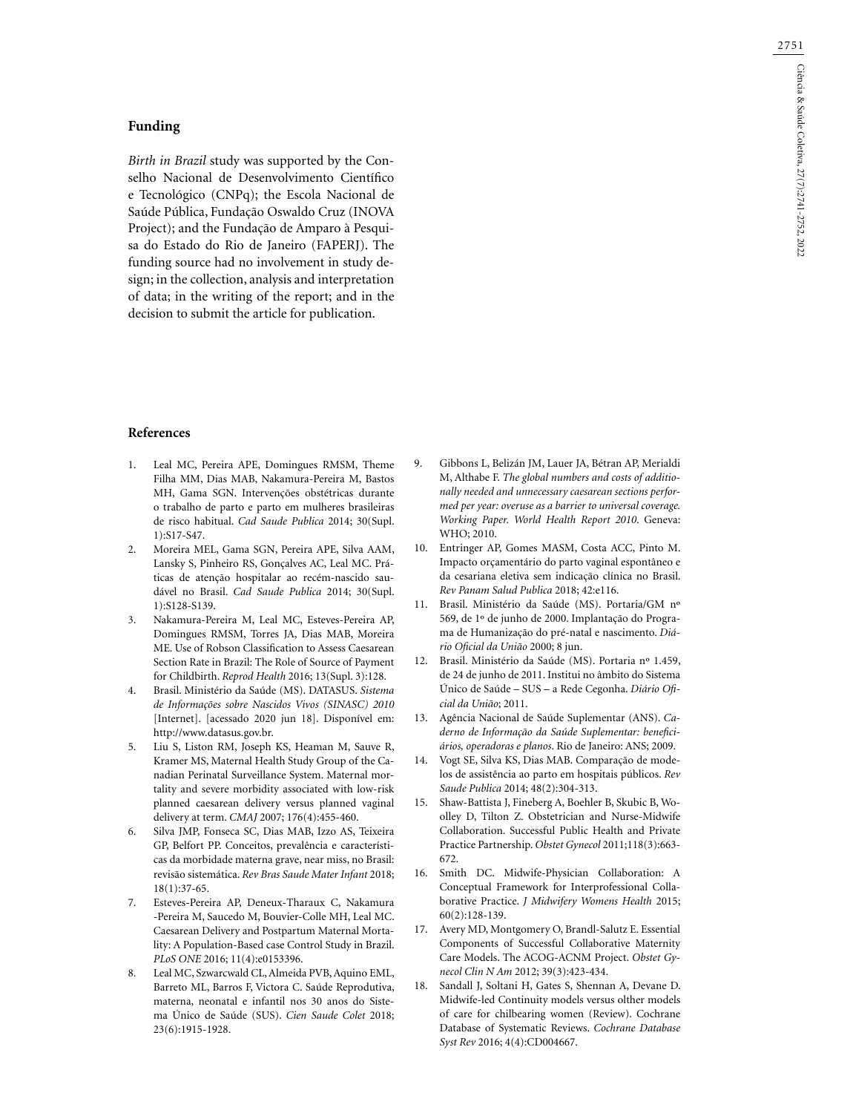2751

## **Funding**

*Birth in Brazil* study was supported by the Conselho Nacional de Desenvolvimento Científico e Tecnológico (CNPq); the Escola Nacional de Saúde Pública, Fundação Oswaldo Cruz (INOVA Project); and the Fundação de Amparo à Pesquisa do Estado do Rio de Janeiro (FAPERJ). The funding source had no involvement in study design; in the collection, analysis and interpretation of data; in the writing of the report; and in the decision to submit the article for publication.

### **References**

- 1. Leal MC, Pereira APE, Domingues RMSM, Theme Filha MM, Dias MAB, Nakamura-Pereira M, Bastos MH, Gama SGN. Intervenções obstétricas durante o trabalho de parto e parto em mulheres brasileiras de risco habitual. *Cad Saude Publica* 2014; 30(Supl. 1):S17-S47.
- 2. Moreira MEL, Gama SGN, Pereira APE, Silva AAM, Lansky S, Pinheiro RS, Gonçalves AC, Leal MC. Práticas de atenção hospitalar ao recém-nascido saudável no Brasil. *Cad Saude Publica* 2014; 30(Supl. 1):S128-S139.
- 3. Nakamura-Pereira M, Leal MC, Esteves-Pereira AP, Domingues RMSM, Torres JA, Dias MAB, Moreira ME. Use of Robson Classification to Assess Caesarean Section Rate in Brazil: The Role of Source of Payment for Childbirth. *Reprod Health* 2016; 13(Supl. 3):128.
- 4. Brasil. Ministério da Saúde (MS). DATASUS. *Sistema de Informações sobre Nascidos Vivos (SINASC) 2010* [Internet]. [acessado 2020 jun 18]. Disponível em: http://www.datasus.gov.br.
- 5. Liu S, Liston RM, Joseph KS, Heaman M, Sauve R, Kramer MS, Maternal Health Study Group of the Canadian Perinatal Surveillance System. Maternal mortality and severe morbidity associated with low-risk planned caesarean delivery versus planned vaginal delivery at term. *CMAJ* 2007; 176(4):455-460.
- 6. Silva JMP, Fonseca SC, Dias MAB, Izzo AS, Teixeira GP, Belfort PP. Conceitos, prevalência e características da morbidade materna grave, near miss, no Brasil: revisão sistemática. *Rev Bras Saude Mater Infant* 2018; 18(1):37-65.
- 7. Esteves-Pereira AP, Deneux-Tharaux C, Nakamura -Pereira M, Saucedo M, Bouvier-Colle MH, Leal MC. Caesarean Delivery and Postpartum Maternal Mortality: A Population-Based case Control Study in Brazil. *PLoS ONE* 2016; 11(4):e0153396.
- 8. Leal MC, Szwarcwald CL, Almeida PVB, Aquino EML, Barreto ML, Barros F, Victora C. Saúde Reprodutiva, materna, neonatal e infantil nos 30 anos do Sistema Único de Saúde (SUS). *Cien Saude Colet* 2018; 23(6):1915-1928.
- 9. Gibbons L, Belizán JM, Lauer JA, Bétran AP, Merialdi M, Althabe F. *The global numbers and costs of additionally needed and unnecessary caesarean sections performed per year: overuse as a barrier to universal coverage. Working Paper. World Health Report 2010*. Geneva: WHO; 2010.
- 10. Entringer AP, Gomes MASM, Costa ACC, Pinto M. Impacto orçamentário do parto vaginal espontâneo e da cesariana eletiva sem indicação clínica no Brasil. *Rev Panam Salud Publica* 2018; 42:e116.
- 11. Brasil. Ministério da Saúde (MS). Portaria/GM nº 569, de 1º de junho de 2000. Implantação do Programa de Humanização do pré-natal e nascimento. *Diário Oficial da União* 2000; 8 jun.
- 12. Brasil. Ministério da Saúde (MS). Portaria nº 1.459, de 24 de junho de 2011. Institui no âmbito do Sistema Único de Saúde – SUS – a Rede Cegonha. *Diário Oficial da União*; 2011.
- 13. Agência Nacional de Saúde Suplementar (ANS). *Caderno de Informação da Saúde Suplementar: beneficiários, operadoras e planos*. Rio de Janeiro: ANS; 2009.
- 14. Vogt SE, Silva KS, Dias MAB. Comparação de modelos de assistência ao parto em hospitais públicos. *Rev Saude Publica* 2014; 48(2):304-313.
- 15. Shaw-Battista J, Fineberg A, Boehler B, Skubic B, Woolley D, Tilton Z. Obstetrician and Nurse-Midwife Collaboration. Successful Public Health and Private Practice Partnership. *Obstet Gynecol* 2011;118(3):663- 672.
- 16. Smith DC. Midwife-Physician Collaboration: A Conceptual Framework for Interprofessional Collaborative Practice. *J Midwifery Womens Health* 2015; 60(2):128-139.
- 17. Avery MD, Montgomery O, Brandl-Salutz E. Essential Components of Successful Collaborative Maternity Care Models. The ACOG-ACNM Project. *Obstet Gynecol Clin N Am* 2012; 39(3):423-434.
- 18. Sandall J, Soltani H, Gates S, Shennan A, Devane D. Midwife-led Continuity models versus olther models of care for chilbearing women (Review). Cochrane Database of Systematic Reviews. *Cochrane Database Syst Rev* 2016; 4(4):CD004667.